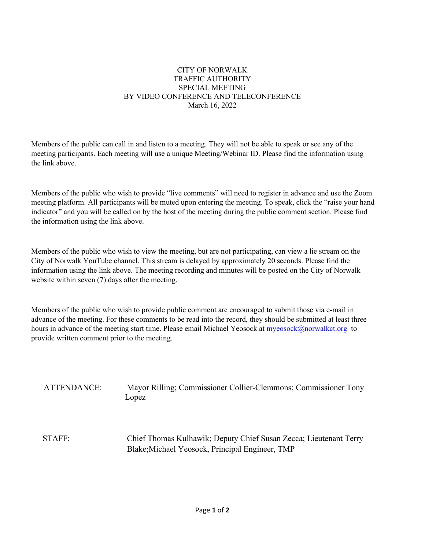#### CITY OF NORWALK TRAFFIC AUTHORITY SPECIAL MEETING BY VIDEO CONFERENCE AND TELECONFERENCE March 16, 2022

Members of the public can call in and listen to a meeting. They will not be able to speak or see any of the meeting participants. Each meeting will use a unique Meeting/Webinar ID. Please find the information using the link above.

Members of the public who wish to provide "live comments" will need to register in advance and use the Zoom meeting platform. All participants will be muted upon entering the meeting. To speak, click the "raise your hand indicator" and you will be called on by the host of the meeting during the public comment section. Please find the information using the link above.

Members of the public who wish to view the meeting, but are not participating, can view a lie stream on the City of Norwalk YouTube channel. This stream is delayed by approximately 20 seconds. Please find the information using the link above. The meeting recording and minutes will be posted on the City of Norwalk website within seven (7) days after the meeting.

Members of the public who wish to provide public comment are encouraged to submit those via e-mail in advance of the meeting. For these comments to be read into the record, they should be submitted at least three hours in advance of the meeting start time. Please email Michael Yeosock at [myeosock@norwalkct.org](mailto:myeosock@norwalkct.org) to provide written comment prior to the meeting.

ATTENDANCE: Mayor Rilling; Commissioner Collier-Clemmons; Commissioner Tony Lopez

STAFF: Chief Thomas Kulhawik; Deputy Chief Susan Zecca; Lieutenant Terry Blake;Michael Yeosock, Principal Engineer, TMP